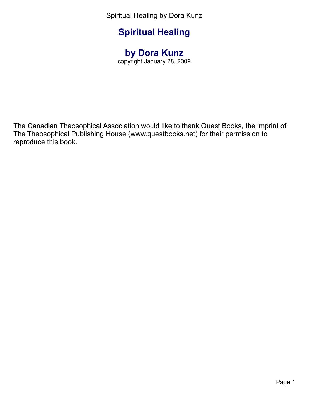# **Spiritual Healing**

## **by Dora Kunz**

copyright January 28, 2009

The Canadian Theosophical Association would like to thank Quest Books, the imprint of The Theosophical Publishing House (www.questbooks.net) for their permission to reproduce this book.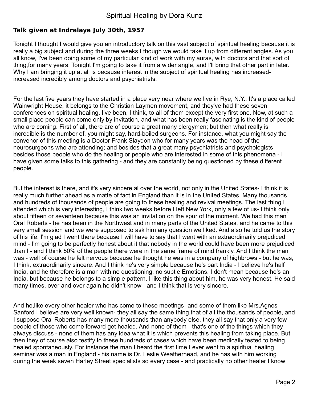#### **Talk given at Indralaya July 30th, 1957**

Tonight I thought I would give you an introductory talk on this vast subject of spiritual healing because it is really a big subject and during the three weeks I though we would take it up from different angles. As you all know, I've been doing some of my particular kind of work with my auras, with doctors and that sort of thing,for many years. Tonight I'm going to take it from a wider angle, and I'll bring that other part in later. Why I am bringing it up at all is because interest in the subject of spiritual healing has increasedincreased incredibly among doctors and psychiatrists.

For the last five years they have started in a place very near where we live in Rye, N.Y.. It's a place called Wainwright House, it belongs to the Christian Laymen movement, and they've had these seven conferences on spiritual healing. I've been, I think, to all of them except the very first one. Now, at such a small place people can come only by invitation, and what has been really fascinating is the kind of people who are coming. First of all, there are of course a great many clergymen; but then what really is incredible is the number of, you might say, hard-boiled surgeons. For instance, what you might say the convenor of this meeting is a Doctor Frank Slaydon who for many years was the head of the neurosurgeons who are attending; and besides that a great many psychiatrists and psychologists besides those people who do the healing or people who are interested in some of this phenomena - I have given some talks to this gathering - and they are constantly being questioned by these different people.

But the interest is there, and it's very sincere al over the world, not only in the United States- I think it is really much further ahead as a matte of fact in England than it is in the United States. Many thousands and hundreds of thousands of people are going to these healing and revival meetings. The last thing I attended which is very interesting, I think two weeks before I left New York, only a few of us- I think only about fifteen or seventeen because this was an invitation on the spur of the moment. We had this man Oral Roberts - he has been in the Northwest and in many parts of the United States, and he came to this very small session and we were supposed to ask him any question we liked. And also he told us the story of his life. I'm glad I went there because I will have to say that I went with an extraordinarily prejudiced mind - I'm going to be perfectly honest about it that nobody in the world could have been more prejudiced than I - and I think 50% of the people there were in the same frame of mind frankly. And I think the man was - well of course he felt nervous because he thought he was in a company of highbrows - but he was, I think, extraordinarily sincere. And I think he's very simple because he's part India - I believe he's half India, and he therefore is a man with no questioning, no subtle Emotions. I don't mean because he's an India, but because he belongs to a simple pattern. I like this thing about him, he was very honest. He said many times, over and over again,he didn't know - and I think that is very sincere.

And he,like every other healer who has come to these meetings- and some of them like Mrs.Agnes Sanford I believe are very well known- they all say the same thing,that of all the thousands of people, and I suppose Oral Roberts has many more thousands than anybody else, they all say that only a very few people of those who come forward get healed. And none of them - that's one of the things which they always discuss - none of them has any idea what it is which prevents this healing from taking place. But then they of course also testify to these hundreds of cases which have been medically tested to being healed spontaneously. For instance the man I heard the first time I ever went to a spiritual healing seminar was a man in England - his name is Dr. Leslie Weatherhead, and he has with him working during the week seven Harley Street specialists so every case - and practically no other healer I know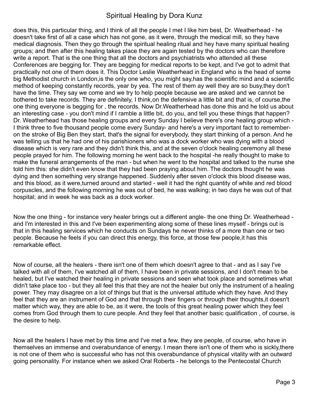does this, this particular thing, and I think of all the people I met I like him best, Dr. Weatherhead - he doesn't take first of all a case which has not gone, as it were, through the medical mill, so they have medical diagnosis. Then they go through the spiritual healing ritual and hey have many spiritual healing groups; and then after this healing takes place they are again tested by the doctors who can therefore write a report. That is the one thing that all the doctors and psychiatrists who attended all these Conferences are begging for. They are begging for medical reports to be kept, and I've got to admit that practically not one of them does it. This Doctor Leslie Weatherhead in England who is the head of some big Methodist church in London,is the only one who, you might say,has the scientific mind and a scientific method of keeping constantly records, year by yea. The rest of them ay well they are so busy,they don't have the time. They say we come and we try to help people because we are asked and we cannot be bothered to take records. They are definitely, I think,on the defensive a little bit and that is, of course,the one thing everyone is begging for , the records. Now Dr.Weatherhead has done this and he told us about an interesting case - you don't mind if I ramble a little bit, do you, and tell you these things that happen? Dr. Weatherhead has those healing groups and every Sunday I believe there's one healing group which - I think three to five thousand people come every Sunday- and here's a very important fact to rememberon the stroke of Big Ben they start, that's the signal for everybody, they start thinking of a person. And he was telling us that he had one of his parishioners who was a dock worker who was dying with a blood disease which is very rare and they didn't think this, and at the seven o'clock healing ceremony all these people prayed for him. The following morning he went back to the hospital -he really thought to make to make the funeral arrangements of the man - but when he went to the hospital and talked to the nurse she told him this: she didn't even know that they had been praying about him. The doctors thought he was dying and then something very strange happened. Suddenly after seven o'clock this blood disease was, and this blood, as it were,turned around and started - well it had the right quantity of white and red blood corpuscles, and the following morning he was out of bed, he was walking; in two days he was out of that hospital; and in week he was back as a dock worker.

Now the one thing - for instance very healer brings out a different angle- the one thing Dr. Weatherhead and I'm interested in this and I've been experimenting along some of these lines myself - brings out is that in this healing services which he conducts on Sundays he never thinks of a more than one or two people. Because he feels if you can direct this energy, this force, at those few people,it has this remarkable effect.

Now of course, all the healers - there isn't one of them which doesn't agree to that - and as I say I've talked with all of them, I've watched all of them, I have been in private sessions, and I don't mean to be healed, but I've watched their healing in private sessions and seen what took place and sometimes what didn't take place too - but they all feel this that they are not the healer but only the instrument of a healing power. They may disagree on a lot of things but that is the universal attitude which they have. And they feel that they are an instrument of God and that through their fingers or through their thoughts,it doesn't matter which way, they are able to be, as it were, the tools of this great healing power which they feel comes from God through them to cure people. And they feel that another basic qualification , of course, is the desire to help.

Now all the healers I have met by this time and I've met a few, they are people, of course, who have in themselves an immense and overabundance of energy. I mean there isn't one of them who is sickly,there is not one of them who is successful who has not this overabundance of physical vitality with an outward going personality. For instance when we asked Oral Roberts - he belongs to the Pentecostal Church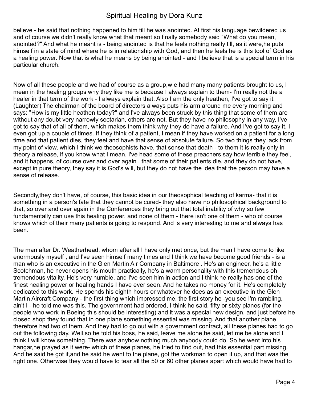believe - he said that nothing happened to him till he was anointed. At first his language bewildered us and of course we didn't really know what that meant so finally somebody said "What do you mean, anointed?" And what he meant is - being anointed is that he feels nothing really till, as it were,he puts himself in a state of mind where he is in relationship with God, and then he feels he is this tool of God as a healing power. Now that is what he means by being anointed - and I believe that is a special term in his particular church.

Now of all these people and we had of course as a group,w e had many many patients brought to us, I mean in the healing groups why they like me is because I always explain to them- I'm really not the a healer in that term of the work - I always explain that. Also I am the only heathen, I've got to say it. (Laughter) The chairman of the board of directors always puts his arm around me every morning and says: "How is my little heathen today?" and I've always been struck by this thing that some of them are without any doubt very narrowly sectarian, others are not. But they have no philosophy in any way, I've got to say that of all of them, which makes them think why they do have a failure. And I've got to say it, I even got up a couple of times. If they think of a patient, I mean if they have worked on a patient for a long time and that patient dies, they feel and have that sense of absolute failure. So two things they lack from my point of view, which I think we theosophists have, that sense that death - to them it is really only in theory a release, if you know what I mean. I've head some of these preachers say how terrible they feel, and it happens, of course over and over again , that some of their patients die, and they do not have, except in pure theory, they say it is God's will, but they do not have the idea that the person may have a sense of release.

Secondly,they don't have, of course, this basic idea in our theosophical teaching of karma- that it is something in a person's fate that they cannot be cured- they also have no philosophical background to that, so over and over again in the Conferences they bring out that total inability of why so few fundamentally can use this healing power, and none of them - there isn't one of them - who of course knows which of their many patients is going to respond. And is very interesting to me and always has been.

The man after Dr. Weatherhead, whom after all I have only met once, but the man I have come to like enormously myself , and I've seen himself many times and I think we have become good friends - is a man who is an executive in the Glen Martin Air Company in Baltimore . He's an engineer, he's a little Scotchman, he never opens his mouth practically, he's a warm personality with this tremendous oh tremendous vitality. He's very humble, and I've seen him in action and I think he really has one of the finest healing power or healing hands I have ever seen. And he takes no money for it. He's completely dedicated to this work. He spends his eighth hours or whatever he does as an executive in the Glen Martin Aircraft Company - the first thing which impressed me, the first story he -you see I'm rambling, ain't I - he told me was this. The government had ordered, I think he said, fifty or sixty planes (for the people who work in Boeing this should be interesting) and it was a special new design, and just before he closed shop they found that in one plane something essential was missing. And that another plane therefore had two of them. And they had to go out with a government contract, all these planes had to go out the following day. Well,so he told his boss, he said, leave me alone,he said, let me be alone and I think I will know something. There was anyhow nothing much anybody could do. So he went into his hangar,he prayed as it were- which of these planes, he tried to find out, had this essential part missing. And he said he got it,and he said he went to the plane, got the workman to open it up, and that was the right one. Otherwise they would have to tear all the 50 or 60 other planes apart which would have had to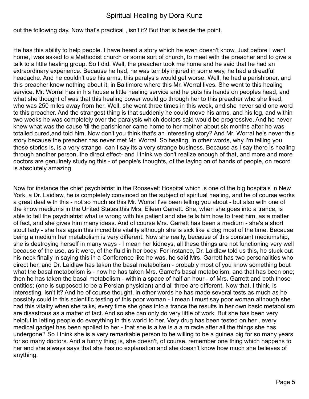out the following day. Now that's practical , isn't it? But that is beside the point.

He has this ability to help people. I have heard a story which he even doesn't know. Just before I went home, I was asked to a Methodist church or some sort of church, to meet with the preacher and to give a talk to a little healing group. So I did. Well, the preacher took me home and he said that he had an extraordinary experience. Because he had, he was terribly injured in some way, he had a dreadful headache. And he couldn't use his arms, this paralysis would get worse. Well, he had a parishioner, and this preacher knew nothing about it, in Baltimore where this Mr. Worral lives. She went to this healing service. Mr. Worral has in his house a little healing service and he puts his hands on peoples head, and what she thought of was that this healing power would go through her to this preacher who she liked, who was 250 miles away from her. Well, she went three times in this week, and she never said one word to this preacher. And the strangest thing is that suddenly he could move his arms, and his leg, and within two weeks he was completely over the paralysis which doctors said would be progressive. And he never knew what was the cause 'til the parishioner came home to her mother about six months after he was totalled cured,and told him. Now don't you think that's an interesting story? And Mr. Worral he's never this story because the preacher has never met Mr. Worral. So healing, in other words, why I'm telling you these stories is, is a very strange- can I say its a very strange business. Because as I say there is healing through another person, the direct effect- and I think we don't realize enough of that, and more and more doctors are genuinely studying this - of people's thoughts, of the laying on of hands of people, on record is absolutely amazing.

Now for instance the chief psychiatrist in the Roosevelt Hospital which is one of the big hospitals in New York, a Dr. Laidlaw, he is completely convinced on the subject of spiritual healing, and he of course works a great deal with this - not so much as this Mr. Worral I've been telling you about - but also with one of the know mediums in the United States,this Mrs. Eileen Garrett. She, when she goes into a trance, is able to tell the psychiatrist what is wrong with his patient and she tells him how to treat him, as a matter of fact, and she gives him many ideas. And of course Mrs. Garrett has been a medium - she's a short stout lady - she has again this incredible vitality although she is sick like a dog most of the time. Because being a medium her metabolism is very different. Now she really, because of this constant mediumship, she is destroying herself in many ways - I mean her kidneys, all these things are not functioning very well because of the use, as it were, of the fluid in her body. For instance, Dr. Laidlaw told us this, he stuck out his neck finally in saying this in a Conference like he was, he said Mrs. Garrett has two personalities who direct her, and Dr. Laidlaw has taken the basal metabolism - probably most of you know something bout what the basal metabolism is - now he has taken Mrs. Garret's basal metabolism, and that has been one; then he has taken the basal metabolism - within a space of half an hour - of Mrs. Garrett and both those entities; (one is supposed to be a Persian physician) and all three are different. Now that, I think, is interesting, isn't it? And he of course thought, in other words he has made several tests as much as he possibly could in this scientific testing of this poor woman - I mean I must say poor woman although she had this vitality when she talks, every time she goes into a trance the results in her own basic metabolism are disastrous as a matter of fact. And so she can only do very little of work. But she has been very helpful in letting people do everything in this world to her. Very drug has been tested on her , every medical gadget has been applied to her - that she is alive is a a miracle after all the things she has undergone? So I think she is a very remarkable person to be willing to be a guinea pig for so many years for so many doctors. And a funny thing is, she doesn't, of course, remember one thing which happens to her and she always says that she has no explanation and she doesn't know how much she believes of anything.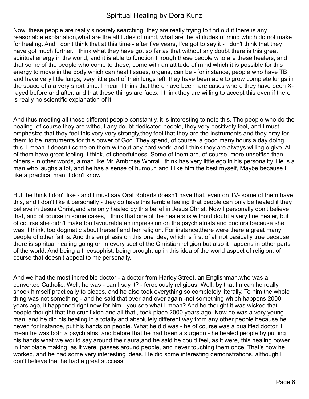Now, these people are really sincerely searching, they are really trying to find out if there is any reasonable explanation,what are the attitudes of mind, what are the attitudes of mind which do not make for healing. And I don't think that at this time - after five years, I've got to say it - I don't think that they have got much further. I think what they have got so far as that without any doubt there is this great spiritual energy in the world, and it is able to function through these people who are these healers, and that some of the people who come to these, come with an attitude of mind which it is possible for this energy to move in the body which can heal tissues, organs, can be - for instance, people who have TB and have very little lungs, very little part of their lungs left, they have been able to grow complete lungs in the space of a a very short time. I mean I think that there have been rare cases where they have been Xrayed before and after, and that these things are facts. I think they are willing to accept this even if there is really no scientific explanation of it.

And thus meeting all these different people constantly, it is interesting to note this. The people who do the healing, of course they are without any doubt dedicated people, they very positively feel, and I must emphasize that they feel this very very strongly,they feel that they are the instruments and they pray for them to be instruments for this power of God. They spend, of course, a good many hours a day doing this. I mean it doesn't come on them without any hard work, and I think they are always willing o give. All of them have great feeling, I think, of cheerfulness. Some of them are, of course, more unselfish than others - in other words, a man like Mr. Ambrose Worral I think has very little ego in his personality. He is a man who laughs a lot, and he has a sense of humour, and I like him the best myself, Maybe because I like a practical man, I don't know.

But the think I don't like - and I must say Oral Roberts doesn't have that, even on TV- some of them have this, and I don't like it personally - they do have this terrible feeling that people can only be healed if they believe in Jesus Christ,and are only healed by this belief in Jesus Christ. Now I personally don't believe that, and of course in some cases, I think that one of the healers is without doubt a very fine healer, but of course she didn't make too favourable an impression on the psychiatrists and doctors because she was, I think, too dogmatic about herself and her religion. For instance,there were there a great many people of other faiths. And this emphasis on this one idea, which is first of all not basically true because there is spiritual healing going on in every sect of the Christian religion but also it happens in other parts of the world. And being a theosophist, being brought up in this idea of the world aspect of religion, of course that doesn't appeal to me personally.

And we had the most incredible doctor - a doctor from Harley Street, an Englishman,who was a converted Catholic. Well, he was - can I say it? - ferociously religious! Well, by that I mean he really shook himself practically to pieces, and he also took everything so completely literally. To him the whole thing was not something - and he said that over and over again -not something which happens 2000 years ago, it happened right now for him - you see what I mean? And he thought it was wicked that people thought that the crucifixion and all that , took place 2000 years ago. Now he was a very young man, and he did his healing in a totally and absolutely different way from any other people because he never, for instance, put his hands on people. What he did was - he of course was a qualified doctor, I mean he was both a psychiatrist and before that he had been a surgeon - he healed people by putting his hands what we would say around their aura,and he said he could feel, as it were, this healing power in that place making, as it were, passes around people, and never touching them once. That's how he worked, and he had some very interesting ideas. He did some interesting demonstrations, although I don't believe that he had a great success.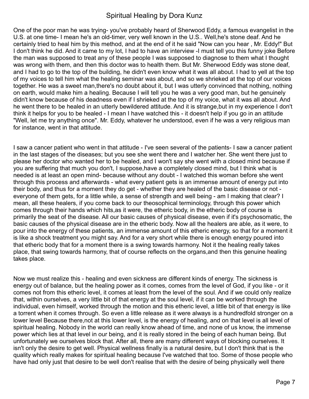One of the poor man he was trying- you've probably heard of Sherwood Eddy, a famous evangelist in the U.S. at one time- I mean he's an old-timer, very well known in the U.S.. Well,he's stone deaf. And he certainly tried to heal him by this method, and at the end of it he said "Now can you hear , Mr. Eddy!" But I don't think he did. And it came to my lot, I had to have an interview -I must tell you this funny joke Before the man was supposed to treat any of these people I was supposed to diagnose to them what I thought was wrong with them, and then this doctor was to health them. But Mr. Sherwood Eddy was stone deaf, and I had to go to the top of the building, he didn't even know what it was all about. I had to yell at the top of my voices to tell him what the healing seminar was about, and so we shrieked at the top of our voices together. He was a sweet man,there's no doubt about it, but I was utterly convinced that nothing, nothing on earth, would make him a healing. Because I will tell you he was a very good man, but he genuinely didn't know because of his deadness even if I shrieked at the top of my voice, what it was all about. And he went there to be healed in an utterly bewildered attitude. And it is strange,but in my experience I don't think it helps for you to be healed - I mean I have watched this - it doesn't help if you go in an attitude "Well, let me try anything once". Mr. Eddy, whatever he understood, even if he was a very religious man for instance, went in that attitude.

I saw a cancer patient who went in that attitude - I've seen several of the patients- I saw a cancer patient in the last stages of the diseases; but you see she went there and I watcher her. She went there just to please her doctor who wanted her to be healed, and I won't say she went with a closed mind because if you are suffering that much you don't, I suppose,have a completely closed mind, but I think what is needed is at least an open mind- because without any doubt - I watched this woman before she went through this process and afterwards - what every patient gets is an immense amount of energy put into their body, and thus for a moment they do get - whether they are healed of the basic disease or not everyone of them gets, for a little while, a sense of strength and well being - am I making that clear? I mean, all these healers, if you come back to our theosophical terminology, through this power which comes through their hands which hits,as it were, the etheric body, in the etheric body of course is primarily the seat of the disease. All our basic causes of physical disease, even if it's psychosomatic, the basic causes of the physical disease are in the etheric body. Now all the healers are able, as it were, to pour into the energy of these patients, an immense amount of this etheric energy, so that for a moment it is like a shock treatment you might say. And for a very short while there is enough energy poured into that etheric body that for a moment there is a swing towards harmony. Not it the healing really takes place, that swing towards harmony, that of course reflects on the organs,and then this genuine healing takes place.

Now we must realize this - healing and even sickness are different kinds of energy. The sickness is energy out of balance, but the healing power as it comes, comes from the level of God, if you like - or it comes not from this etheric level, it comes at least from the level of the soul. And if we could only realize that, within ourselves, a very little bit of that energy at the soul level, if it can be worked through the individual, even himself, worked through the motion and this etheric level, a little bit of that energy is like a torrent when it comes through. So even a little release as it were always is a hundredfold stronger on a lower level Because there,not at this lower level, is the energy of healing, and on that level is all level of spiritual healing. Nobody in the world can really know ahead of time, and none of us know, the immense power which lies at that level in our being, and it is really stored in the being of each human being. But unfortunately we ourselves block that. After all, there are many different ways of blocking ourselves. It isn't only the desire to get well. Physical wellness finally is a natural desire, but I don't think that is the quality which really makes for spiritual healing because I've watched that too. Some of those people who have had only just that desire to be well don't realise that with the desire of being physically well there